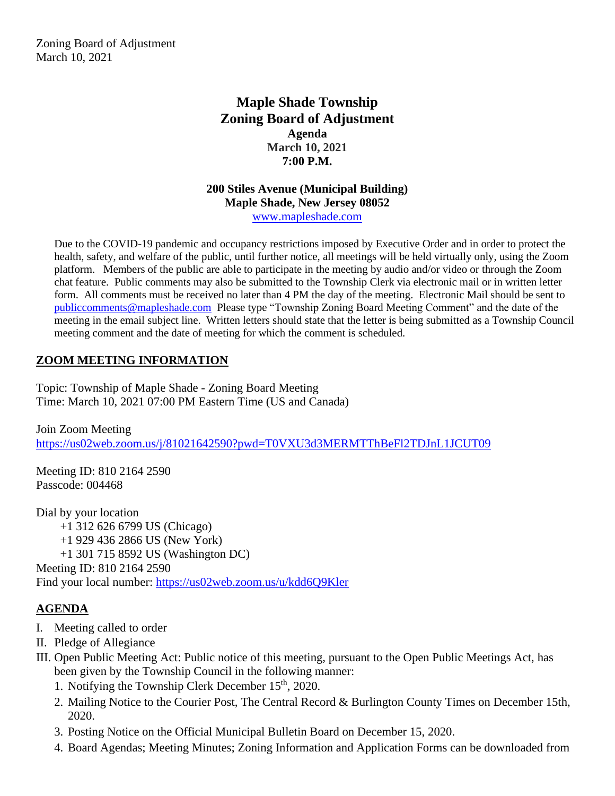Zoning Board of Adjustment March 10, 2021

# **Maple Shade Township Zoning Board of Adjustment Agenda March 10, 2021 7:00 P.M.**

#### **200 Stiles Avenue (Municipal Building) Maple Shade, New Jersey 08052** [www.mapleshade.com](http://www.mapleshade.com/)

Due to the COVID-19 pandemic and occupancy restrictions imposed by Executive Order and in order to protect the health, safety, and welfare of the public, until further notice, all meetings will be held virtually only, using the Zoom platform. Members of the public are able to participate in the meeting by audio and/or video or through the Zoom chat feature. Public comments may also be submitted to the Township Clerk via electronic mail or in written letter form. All comments must be received no later than 4 PM the day of the meeting. Electronic Mail should be sent to [publiccomments@mapleshade.com](mailto:publiccomments@mapleshade.com) Please type "Township Zoning Board Meeting Comment" and the date of the meeting in the email subject line. Written letters should state that the letter is being submitted as a Township Council meeting comment and the date of meeting for which the comment is scheduled.

# **ZOOM MEETING INFORMATION**

Topic: Township of Maple Shade - Zoning Board Meeting Time: March 10, 2021 07:00 PM Eastern Time (US and Canada)

Join Zoom Meeting <https://us02web.zoom.us/j/81021642590?pwd=T0VXU3d3MERMTThBeFl2TDJnL1JCUT09>

Meeting ID: 810 2164 2590 Passcode: 004468

Dial by your location +1 312 626 6799 US (Chicago) +1 929 436 2866 US (New York) +1 301 715 8592 US (Washington DC) Meeting ID: 810 2164 2590 Find your local number:<https://us02web.zoom.us/u/kdd6Q9Kler>

### **AGENDA**

- I. Meeting called to order
- II. Pledge of Allegiance
- III. Open Public Meeting Act: Public notice of this meeting, pursuant to the Open Public Meetings Act, has been given by the Township Council in the following manner:
	- 1. Notifying the Township Clerk December  $15<sup>th</sup>$ , 2020.
	- 2. Mailing Notice to the Courier Post, The Central Record & Burlington County Times on December 15th, 2020.
	- 3. Posting Notice on the Official Municipal Bulletin Board on December 15, 2020.
	- 4. Board Agendas; Meeting Minutes; Zoning Information and Application Forms can be downloaded from